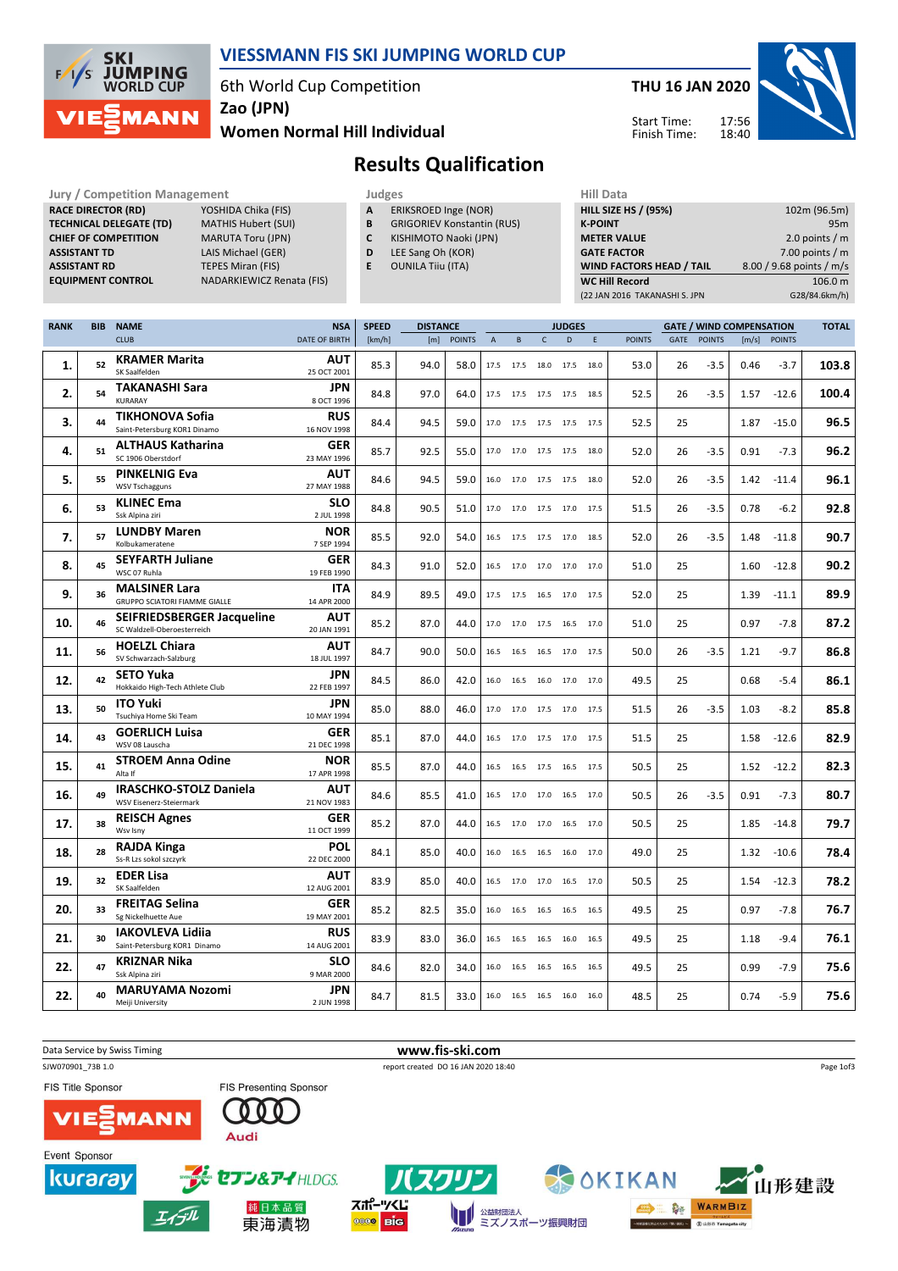

## VIESSMANN FIS SKI JUMPING WORLD CUP

6th World Cup Competition

Zao (JPN)

### Women Normal Hill Individual



17:56 18:40 Start Time: Finish Time:



# Results Qualification

Jury / Competition Management Judges Judges Hill Data<br>
RACE DIRECTOR (RD) YOSHIDA Chika (FIS) **A ERIKSROED** Inge (NOR) HILL SIZE H RACE DIRECTOR (RD) **TECHNICAL DELEGATE (TD)** MATHIS Hubert (SUI)<br> **CHIEF OF COMPETITION** MARUTA Toru (JPN) CHIEF OF COMPETITION ASSISTANT TD LAIS Michael (GER) **ASSISTANT RD** TEPES Miran (FIS)<br> **EQUIPMENT CONTROL** NADARKIEWICZ Re

NADARKIEWICZ Renata (FIS)

- A ERIKSROED Inge (NOR)
- 
- **B** GRIGORIEV Konstantin (RUS)<br>**C** KISHIMOTO Naoki (JPN) KISHIMOTO Naoki (JPN)
- D LEE Sang Oh (KOR)
- E OUNILA Tiiu (ITA)

| <b>HILL SIZE HS / (95%)</b>     | 102m (96.5m)             |
|---------------------------------|--------------------------|
| <b>K-POINT</b>                  | 95 <sub>m</sub>          |
| <b>METER VALUE</b>              | 2.0 points $/m$          |
| <b>GATE FACTOR</b>              | 7.00 points $/m$         |
| <b>WIND FACTORS HEAD / TAIL</b> | 8.00 / 9.68 points / m/s |
| <b>WC Hill Record</b>           | 106.0 m                  |
| (22 JAN 2016 TAKANASHI S. JPN   | G28/84.6km/h)            |

| <b>RANK</b> | <b>BIB</b> | <b>NAME</b>                                                      | <b>NSA</b>                | <b>SPEED</b> | <b>DISTANCE</b> |               |                | <b>JUDGES</b> |              |                          |    |               | <b>GATE / WIND COMPENSATION</b> |               |       |               |       |
|-------------|------------|------------------------------------------------------------------|---------------------------|--------------|-----------------|---------------|----------------|---------------|--------------|--------------------------|----|---------------|---------------------------------|---------------|-------|---------------|-------|
|             |            | <b>CLUB</b>                                                      | DATE OF BIRTH             | [km/h]       | [m]             | <b>POINTS</b> | $\overline{A}$ | B             | $\mathsf{C}$ | D                        | E. | <b>POINTS</b> | GATE                            | <b>POINTS</b> | [m/s] | <b>POINTS</b> |       |
| 1.          | 52         | <b>KRAMER Marita</b><br>SK Saalfelden                            | <b>AUT</b><br>25 OCT 2001 | 85.3         | 94.0            | 58.0          | 17.5           | 17.5          | 18.0         | 17.5 18.0                |    | 53.0          | 26                              | $-3.5$        | 0.46  | $-3.7$        | 103.8 |
| 2.          | 54         | <b>TAKANASHI Sara</b><br>KURARAY                                 | <b>JPN</b><br>8 OCT 1996  | 84.8         | 97.0            | 64.0          |                | 17.5 17.5     |              | 17.5 17.5 18.5           |    | 52.5          | 26                              | $-3.5$        | 1.57  | $-12.6$       | 100.4 |
| З.          | 44         | <b>TIKHONOVA Sofia</b><br>Saint-Petersburg KOR1 Dinamo           | <b>RUS</b><br>16 NOV 1998 | 84.4         | 94.5            | 59.0          |                |               |              | 17.0 17.5 17.5 17.5 17.5 |    | 52.5          | 25                              |               | 1.87  | $-15.0$       | 96.5  |
| 4.          | 51         | <b>ALTHAUS Katharina</b><br>SC 1906 Oberstdorf                   | GER<br>23 MAY 1996        | 85.7         | 92.5            | 55.0          |                |               |              | 17.0 17.0 17.5 17.5 18.0 |    | 52.0          | 26                              | $-3.5$        | 0.91  | $-7.3$        | 96.2  |
| 5.          | 55         | <b>PINKELNIG Eva</b><br><b>WSV Tschagguns</b>                    | AUT<br>27 MAY 1988        | 84.6         | 94.5            | 59.0          |                |               |              | 16.0 17.0 17.5 17.5 18.0 |    | 52.0          | 26                              | $-3.5$        | 1.42  | $-11.4$       | 96.1  |
| 6.          | 53         | <b>KLINEC Ema</b><br>Ssk Alpina ziri                             | <b>SLO</b><br>2 JUL 1998  | 84.8         | 90.5            | 51.0          |                |               |              | 17.0 17.0 17.5 17.0 17.5 |    | 51.5          | 26                              | $-3.5$        | 0.78  | $-6.2$        | 92.8  |
| 7.          | 57         | <b>LUNDBY Maren</b><br>Kolbukameratene                           | <b>NOR</b><br>7 SEP 1994  | 85.5         | 92.0            | 54.0          |                |               |              | 16.5 17.5 17.5 17.0 18.5 |    | 52.0          | 26                              | $-3.5$        | 1.48  | $-11.8$       | 90.7  |
| 8.          | 45         | <b>SEYFARTH Juliane</b><br>WSC 07 Ruhla                          | GER<br>19 FEB 1990        | 84.3         | 91.0            | 52.0          |                |               |              | 16.5 17.0 17.0 17.0 17.0 |    | 51.0          | 25                              |               | 1.60  | $-12.8$       | 90.2  |
| 9.          | 36         | <b>MALSINER Lara</b><br>GRUPPO SCIATORI FIAMME GIALLE            | <b>ITA</b><br>14 APR 2000 | 84.9         | 89.5            | 49.0          |                | 17.5 17.5     |              | 16.5 17.0 17.5           |    | 52.0          | 25                              |               | 1.39  | $-11.1$       | 89.9  |
| 10.         | 46         | <b>SEIFRIEDSBERGER Jacqueline</b><br>SC Waldzell-Oberoesterreich | <b>AUT</b><br>20 JAN 1991 | 85.2         | 87.0            | 44.0          |                |               |              | 17.0 17.0 17.5 16.5 17.0 |    | 51.0          | 25                              |               | 0.97  | $-7.8$        | 87.2  |
| 11.         | 56         | <b>HOELZL Chiara</b><br>SV Schwarzach-Salzburg                   | <b>AUT</b><br>18 JUL 1997 | 84.7         | 90.0            | 50.0          | 16.5           | 16.5          | 16.5         | 17.0 17.5                |    | 50.0          | 26                              | $-3.5$        | 1.21  | $-9.7$        | 86.8  |
| 12.         | 42         | <b>SETO Yuka</b><br>Hokkaido High-Tech Athlete Club              | <b>JPN</b><br>22 FEB 1997 | 84.5         | 86.0            | 42.0          |                |               |              | 16.0 16.5 16.0 17.0 17.0 |    | 49.5          | 25                              |               | 0.68  | $-5.4$        | 86.1  |
| 13.         | 50         | <b>ITO Yuki</b><br>Tsuchiya Home Ski Team                        | <b>JPN</b><br>10 MAY 1994 | 85.0         | 88.0            | 46.0          | 17.0           | 17.0          |              | 17.5 17.0 17.5           |    | 51.5          | 26                              | $-3.5$        | 1.03  | $-8.2$        | 85.8  |
| 14.         | 43         | <b>GOERLICH Luisa</b><br>WSV 08 Lauscha                          | GER<br>21 DEC 1998        | 85.1         | 87.0            | 44.0          |                |               |              | 16.5 17.0 17.5 17.0 17.5 |    | 51.5          | 25                              |               | 1.58  | $-12.6$       | 82.9  |
| 15.         | 41         | <b>STROEM Anna Odine</b><br>Alta If                              | <b>NOR</b><br>17 APR 1998 | 85.5         | 87.0            | 44.0          |                |               |              | 16.5 16.5 17.5 16.5 17.5 |    | 50.5          | 25                              |               | 1.52  | $-12.2$       | 82.3  |
| 16.         | 49         | <b>IRASCHKO-STOLZ Daniela</b><br>WSV Eisenerz-Steiermark         | AUT<br>21 NOV 1983        | 84.6         | 85.5            | 41.0          |                |               |              | 16.5 17.0 17.0 16.5 17.0 |    | 50.5          | 26                              | $-3.5$        | 0.91  | $-7.3$        | 80.7  |
| 17.         | 38         | <b>REISCH Agnes</b><br>Wsv Isnv                                  | <b>GER</b><br>11 OCT 1999 | 85.2         | 87.0            | 44.0          |                |               |              | 16.5 17.0 17.0 16.5 17.0 |    | 50.5          | 25                              |               | 1.85  | $-14.8$       | 79.7  |
| 18.         | 28         | <b>RAJDA Kinga</b><br>Ss-R Lzs sokol szczyrk                     | <b>POL</b><br>22 DEC 2000 | 84.1         | 85.0            | 40.0          | 16.0           | 16.5          | 16.5         | 16.0 17.0                |    | 49.0          | 25                              |               | 1.32  | $-10.6$       | 78.4  |
| 19.         | 32         | <b>EDER Lisa</b><br>SK Saalfelden                                | <b>AUT</b><br>12 AUG 2001 | 83.9         | 85.0            | 40.0          | 16.5           |               |              | 17.0 17.0 16.5 17.0      |    | 50.5          | 25                              |               | 1.54  | $-12.3$       | 78.2  |
| 20.         | 33         | <b>FREITAG Selina</b><br>Sg Nickelhuette Aue                     | GER<br>19 MAY 2001        | 85.2         | 82.5            | 35.0          | 16.0           | 16.5          | 16.5         | 16.5 16.5                |    | 49.5          | 25                              |               | 0.97  | $-7.8$        | 76.7  |
| 21.         | 30         | <b>IAKOVLEVA Lidija</b><br>Saint-Petersburg KOR1 Dinamo          | <b>RUS</b><br>14 AUG 2001 | 83.9         | 83.0            | 36.0          |                |               |              | 16.5 16.5 16.5 16.0 16.5 |    | 49.5          | 25                              |               | 1.18  | $-9.4$        | 76.1  |
| 22.         | 47         | <b>KRIZNAR Nika</b><br>Ssk Alpina ziri                           | <b>SLO</b><br>9 MAR 2000  | 84.6         | 82.0            | 34.0          | 16.0           | 16.5          | 16.5         | 16.5 16.5                |    | 49.5          | 25                              |               | 0.99  | $-7.9$        | 75.6  |
| 22.         | 40         | <b>MARUYAMA Nozomi</b><br>Meiji University                       | JPN<br>2 JUN 1998         | 84.7         | 81.5            | 33.0          |                |               |              | 16.0 16.5 16.5 16.0 16.0 |    | 48.5          | 25                              |               | 0.74  | $-5.9$        | 75.6  |

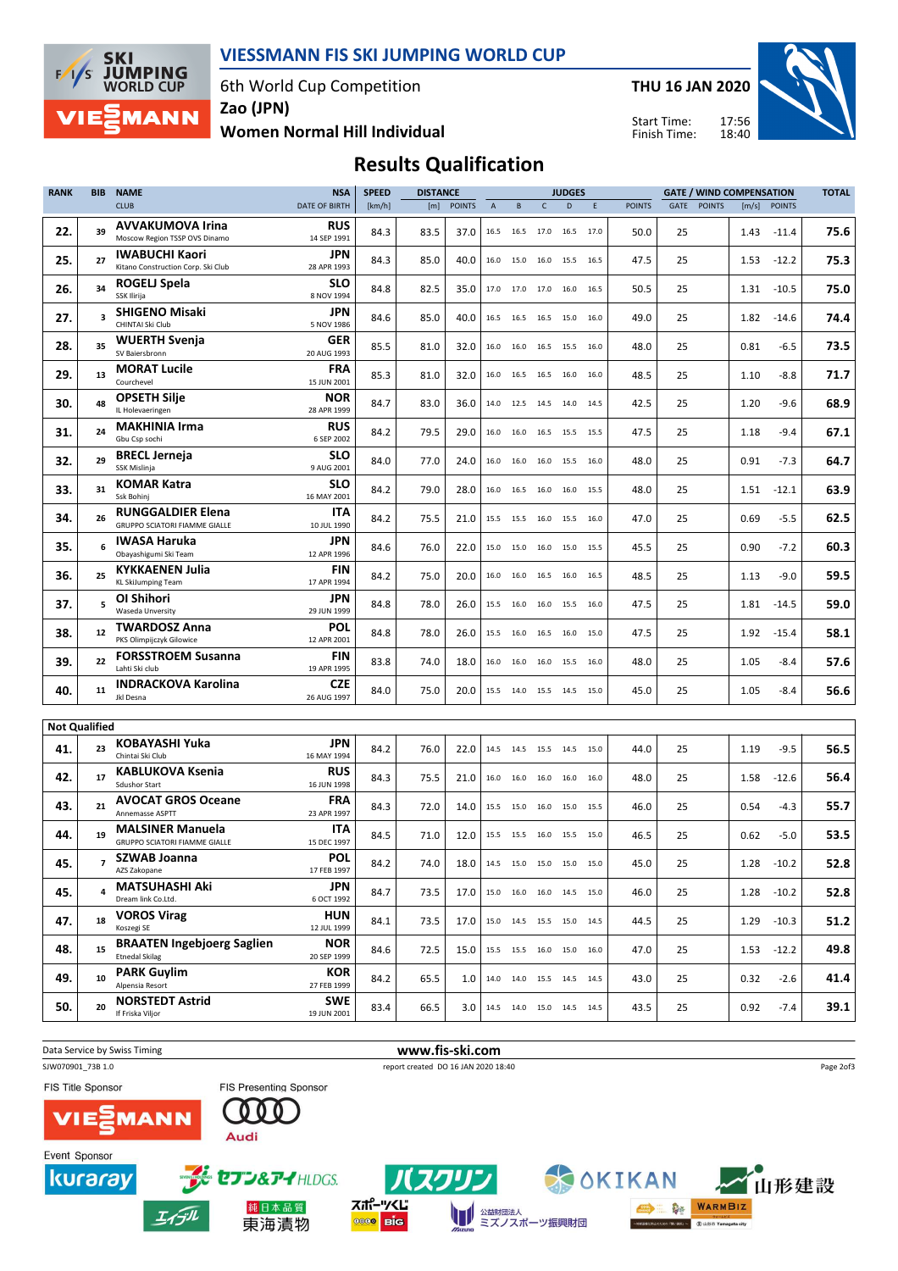

### VIESSMANN FIS SKI JUMPING WORLD CUP

6th World Cup Competition

THU 16 JAN 2020

**ON WARMBIZ** 

**AS DISTRICTS** 

Start Time: Finish Time:



Women Normal Hill Individual Zao (JPN)

Results Qualification

| <b>RANK</b> | <b>BIB</b><br><b>NAME</b> |                                                                      | <b>NSA</b>                       | <b>SPEED</b> | <b>DISTANCE</b> |               |                |                |              | <b>JUDGES</b>                        |      | <b>GATE / WIND COMPENSATION</b> |    |             |      |               | <b>TOTAL</b> |
|-------------|---------------------------|----------------------------------------------------------------------|----------------------------------|--------------|-----------------|---------------|----------------|----------------|--------------|--------------------------------------|------|---------------------------------|----|-------------|------|---------------|--------------|
|             |                           | <b>CLUB</b>                                                          | DATE OF BIRTH                    | [km/h]       | [m]             | <b>POINTS</b> | $\overline{A}$ | B              | $\mathsf{C}$ | D                                    | E    | <b>POINTS</b>                   |    | GATE POINTS |      | [m/s] POINTS  |              |
| 22.         | 39                        | <b>AVVAKUMOVA Irina</b><br>Moscow Region TSSP OVS Dinamo             | <b>RUS</b><br>14 SEP 1991        | 84.3         | 83.5            | 37.0          | 16.5           | 16.5           | 17.0         | 16.5                                 | 17.0 | 50.0                            | 25 |             | 1.43 | $-11.4$       | 75.6         |
| 25.         | 27                        | <b>IWABUCHI Kaori</b><br>Kitano Construction Corp. Ski Club          | JPN<br>28 APR 1993               | 84.3         | 85.0            | 40.0          | 16.0           | 15.0           | 16.0         | 15.5 16.5                            |      | 47.5                            | 25 |             | 1.53 | $-12.2$       | 75.3         |
| 26.         | 34                        | <b>ROGELJ Spela</b><br>SSK Ilirija                                   | SLO<br>8 NOV 1994                | 84.8         | 82.5            | 35.0          |                |                |              | 17.0 17.0 17.0 16.0 16.5             |      | 50.5                            | 25 |             | 1.31 | $-10.5$       | 75.0         |
| 27.         | $\overline{\mathbf{3}}$   | <b>SHIGENO Misaki</b><br>CHINTAI Ski Club                            | JPN<br>5 NOV 1986                | 84.6         | 85.0            | 40.0          |                |                |              | 16.5 16.5 16.5 15.0                  | 16.0 | 49.0                            | 25 |             | 1.82 | $-14.6$       | 74.4         |
| 28.         | 35                        | <b>WUERTH Svenja</b><br>SV Baiersbronn                               | GER<br>20 AUG 1993               | 85.5         | 81.0            | 32.0          |                |                |              | 16.0 16.0 16.5 15.5 16.0             |      | 48.0                            | 25 |             | 0.81 | $-6.5$        | 73.5         |
| 29.         | 13                        | <b>MORAT Lucile</b><br>Courchevel                                    | FRA<br>15 JUN 2001               | 85.3         | 81.0            | 32.0          | 16.0           | 16.5 16.5      |              | 16.0 16.0                            |      | 48.5                            | 25 |             | 1.10 | $-8.8$        | 71.7         |
| 30.         | 48                        | <b>OPSETH Silje</b><br>IL Holevaeringen                              | <b>NOR</b><br>28 APR 1999        | 84.7         | 83.0            | 36.0          | 14.0           | 12.5           | 14.5         | 14.0 14.5                            |      | 42.5                            | 25 |             | 1.20 | $-9.6$        | 68.9         |
| 31.         | 24                        | <b>MAKHINIA Irma</b><br>Gbu Csp sochi                                | <b>RUS</b><br>6 SEP 2002         | 84.2         | 79.5            | 29.0          |                |                |              | 16.0 16.0 16.5 15.5 15.5             |      | 47.5                            | 25 |             | 1.18 | $-9.4$        | 67.1         |
| 32.         | 29                        | <b>BRECL Jerneja</b><br>SSK Mislinja                                 | <b>SLO</b><br>9 AUG 2001         | 84.0         | 77.0            | 24.0          |                | 16.0 16.0 16.0 |              | 15.5 16.0                            |      | 48.0                            | 25 |             | 0.91 | $-7.3$        | 64.7         |
| 33.         | 31                        | <b>KOMAR Katra</b><br>Ssk Bohinj                                     | <b>SLO</b><br>16 MAY 2001        | 84.2         | 79.0            | 28.0          |                |                |              | 16.0 16.5 16.0 16.0 15.5             |      | 48.0                            | 25 |             | 1.51 | $-12.1$       | 63.9         |
| 34.         | 26                        | <b>RUNGGALDIER Elena</b><br><b>GRUPPO SCIATORI FIAMME GIALLE</b>     | ITA<br>10 JUL 1990               | 84.2         | 75.5            | 21.0          |                |                |              | 15.5    15.5    16.0    15.5    16.0 |      | 47.0                            | 25 |             | 0.69 | $-5.5$        | 62.5         |
| 35.         | 6                         | <b>IWASA Haruka</b><br>Obavashigumi Ski Team                         | JPN<br>12 APR 1996               | 84.6         | 76.0            | 22.0          | 15.0           | 15.0           | 16.0         | 15.0 15.5                            |      | 45.5                            | 25 |             | 0.90 | $-7.2$        | 60.3         |
| 36.         | 25                        | <b>KYKKAENEN Julia</b><br><b>KL SkiJumping Team</b>                  | <b>FIN</b><br>17 APR 1994        | 84.2         | 75.0            | 20.0          | 16.0           | 16.0           | 16.5         | 16.0                                 | 16.5 | 48.5                            | 25 |             | 1.13 | $-9.0$        | 59.5         |
| 37.         | 5                         | OI Shihori<br>Waseda Unversity                                       | JPN<br>29 JUN 1999               | 84.8         | 78.0            | 26.0          | 15.5           | 16.0           | 16.0         | 15.5 16.0                            |      | 47.5                            | 25 |             | 1.81 | $-14.5$       | 59.0         |
| 38.         | 12                        | <b>TWARDOSZ Anna</b><br>PKS Olimpijczyk Gilowice                     | POL<br>12 APR 2001               | 84.8         | 78.0            | 26.0          |                |                |              | 15.5 16.0 16.5 16.0 15.0             |      | 47.5                            | 25 |             | 1.92 | $-15.4$       | 58.1         |
| 39.         | 22                        | <b>FORSSTROEM Susanna</b><br>Lahti Ski club                          | <b>FIN</b><br>19 APR 1995        | 83.8         | 74.0            | 18.0          |                |                |              | 16.0 16.0 16.0 15.5 16.0             |      | 48.0                            | 25 |             | 1.05 | $-8.4$        | 57.6         |
| 40.         | 11                        | <b>INDRACKOVA Karolina</b><br>Jkl Desna                              | <b>CZE</b><br>26 AUG 1997        | 84.0         | 75.0            | 20.0          |                |                |              | 15.5 14.0 15.5 14.5 15.0             |      | 45.0                            | 25 |             | 1.05 | $-8.4$        | 56.6         |
|             |                           |                                                                      |                                  |              |                 |               |                |                |              |                                      |      |                                 |    |             |      |               |              |
|             | <b>Not Qualified</b>      |                                                                      |                                  |              |                 |               |                |                |              |                                      |      |                                 |    |             |      |               |              |
| 41.         | 23                        | <b>KOBAYASHI Yuka</b><br>Chintai Ski Club<br><b>KABLUKOVA Ksenia</b> | JPN<br>16 MAY 1994<br><b>RUS</b> | 84.2         | 76.0            | 22.0          | 14.5           |                |              | 14.5 15.5 14.5 15.0                  |      | 44.0                            | 25 |             | 1.19 | $-9.5$        | 56.5         |
| 42.         | 17                        | <b>Sdushor Start</b><br><b>AVOCAT GROS Oceane</b>                    | 16 JUN 1998<br><b>FRA</b>        | 84.3         | 75.5            | 21.0          |                |                |              | 16.0 16.0 16.0 16.0 16.0             |      | 48.0                            | 25 |             | 1.58 | $-12.6$       | 56.4         |
| 43.         | 21                        | Annemasse ASPTT<br><b>MALSINER Manuela</b>                           | 23 APR 1997<br>ITA               | 84.3         | 72.0            | 14.0          |                |                |              | 15.5 15.0 16.0 15.0 15.5             |      | 46.0                            | 25 |             | 0.54 | $-4.3$        | 55.7         |
| 44.         | 19                        | <b>GRUPPO SCIATORI FIAMME GIALLE</b><br><b>SZWAB Joanna</b>          | 15 DEC 1997<br><b>POL</b>        | 84.5         | 71.0            | 12.0          |                |                |              | 15.5 15.5 16.0 15.5 15.0             |      | 46.5                            | 25 |             | 0.62 | $-5.0$        | 53.5         |
| 45.         |                           | AZS Zakopane                                                         | 17 FEB 1997                      | 84.2         | 74.0            | 18.0          |                |                |              | 14.5 15.0 15.0 15.0 15.0             |      | 45.0                            | 25 |             | 1.28 | $-10.2$       | 52.8         |
| 45.         | 4                         | <b>MATSUHASHI Aki</b><br>Dream link Co.Ltd.                          | <b>JPN</b><br>6 OCT 1992         | 84.7         | 73.5            | 17.0          |                |                |              | 15.0  16.0  16.0  14.5  15.0         |      | 46.0                            | 25 |             |      | $1.28 - 10.2$ | 52.8         |
| 47.         | 18                        | <b>VOROS Virag</b><br>Koszegi SE                                     | HUN<br>12 JUL 1999               | 84.1         | 73.5            | 17.0          |                |                |              | 15.0  14.5  15.5  15.0  14.5         |      | 44.5                            | 25 |             | 1.29 | $-10.3$       | 51.2         |
| 48.         | 15                        | <b>BRAATEN Ingebjoerg Saglien</b><br><b>Etnedal Skilag</b>           | <b>NOR</b><br>20 SEP 1999        | 84.6         | 72.5            | 15.0          |                |                |              | 15.5 15.5 16.0 15.0 16.0             |      | 47.0                            | 25 |             |      | $1.53 - 12.2$ | 49.8         |
| 49.         | 10                        | <b>PARK Guylim</b><br>Alpensia Resort                                | KOR<br>27 FEB 1999               | 84.2         | 65.5            | 1.0           |                |                |              | 14.0 14.0 15.5 14.5 14.5             |      | 43.0                            | 25 |             | 0.32 | $-2.6$        | 41.4         |
| 50.         | 20                        | <b>NORSTEDT Astrid</b><br>If Friska Viljor                           | <b>SWE</b><br>19 JUN 2001        | 83.4         | 66.5            | 3.0           |                |                |              | 14.5   14.0   15.0   14.5   14.5     |      | 43.5                            | 25 |             | 0.92 | $-7.4$        | 39.1         |

Data Service by Swiss Timing **WWW.fis-ski.com** SJW070901\_73B 1.0 report created DO 16 JAN 2020 18:40 Page 2of3FIS Title Sponsor FIS Presenting Sponsor  $000$ **MANN** Audi Event Sponsor kuraray セブン&アイHLDGS. OKIKAN 山形建設

■■ 公益財団法人<br>ミズノスポーツ振興財団

スポーツくじ

**Die** 0000

純日本品質

東海漬物

エイデル